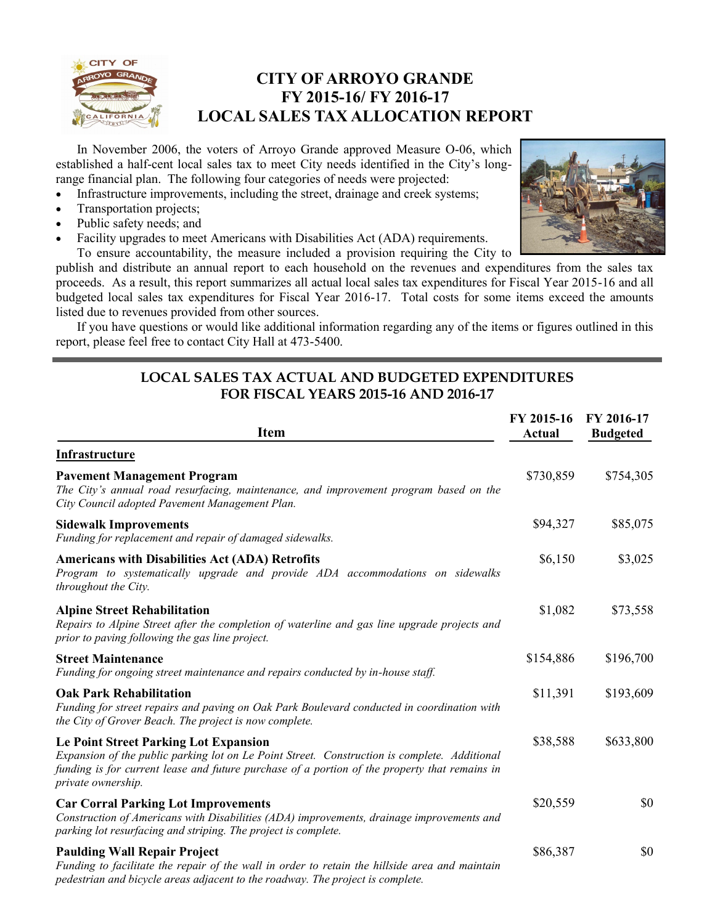

### **CITY OF ARROYO GRANDE FY 2015-16/ FY 2016-17 LOCAL SALES TAX ALLOCATION REPORT**

In November 2006, the voters of Arroyo Grande approved Measure O-06, which established a half-cent local sales tax to meet City needs identified in the City's longrange financial plan. The following four categories of needs were projected:

- Infrastructure improvements, including the street, drainage and creek systems;
- Transportation projects;
- Public safety needs; and
- Facility upgrades to meet Americans with Disabilities Act (ADA) requirements.



To ensure accountability, the measure included a provision requiring the City to publish and distribute an annual report to each household on the revenues and expenditures from the sales tax proceeds. As a result, this report summarizes all actual local sales tax expenditures for Fiscal Year 2015-16 and all budgeted local sales tax expenditures for Fiscal Year 2016-17. Total costs for some items exceed the amounts listed due to revenues provided from other sources.

If you have questions or would like additional information regarding any of the items or figures outlined in this report, please feel free to contact City Hall at 473-5400.

#### **LOCAL SALES TAX ACTUAL AND BUDGETED EXPENDITURES FOR FISCAL YEARS 2015-16 AND 2016-17**

| <b>Item</b>                                                                                                                                                                                                                                                         | FY 2015-16<br><b>Actual</b> | FY 2016-17<br><b>Budgeted</b> |
|---------------------------------------------------------------------------------------------------------------------------------------------------------------------------------------------------------------------------------------------------------------------|-----------------------------|-------------------------------|
| Infrastructure                                                                                                                                                                                                                                                      |                             |                               |
| <b>Pavement Management Program</b><br>The City's annual road resurfacing, maintenance, and improvement program based on the<br>City Council adopted Pavement Management Plan.                                                                                       | \$730,859                   | \$754,305                     |
| <b>Sidewalk Improvements</b><br>Funding for replacement and repair of damaged sidewalks.                                                                                                                                                                            | \$94,327                    | \$85,075                      |
| <b>Americans with Disabilities Act (ADA) Retrofits</b><br>Program to systematically upgrade and provide ADA accommodations on sidewalks<br>throughout the City.                                                                                                     | \$6,150                     | \$3,025                       |
| <b>Alpine Street Rehabilitation</b><br>Repairs to Alpine Street after the completion of waterline and gas line upgrade projects and<br>prior to paving following the gas line project.                                                                              | \$1,082                     | \$73,558                      |
| <b>Street Maintenance</b><br>Funding for ongoing street maintenance and repairs conducted by in-house staff.                                                                                                                                                        | \$154,886                   | \$196,700                     |
| <b>Oak Park Rehabilitation</b><br>Funding for street repairs and paving on Oak Park Boulevard conducted in coordination with<br>the City of Grover Beach. The project is now complete.                                                                              | \$11,391                    | \$193,609                     |
| <b>Le Point Street Parking Lot Expansion</b><br>Expansion of the public parking lot on Le Point Street. Construction is complete. Additional<br>funding is for current lease and future purchase of a portion of the property that remains in<br>private ownership. | \$38,588                    | \$633,800                     |
| <b>Car Corral Parking Lot Improvements</b><br>Construction of Americans with Disabilities (ADA) improvements, drainage improvements and<br>parking lot resurfacing and striping. The project is complete.                                                           | \$20,559                    | \$0                           |
| <b>Paulding Wall Repair Project</b><br>Funding to facilitate the repair of the wall in order to retain the hillside area and maintain<br>pedestrian and bicycle areas adjacent to the roadway. The project is complete.                                             | \$86,387                    | \$0                           |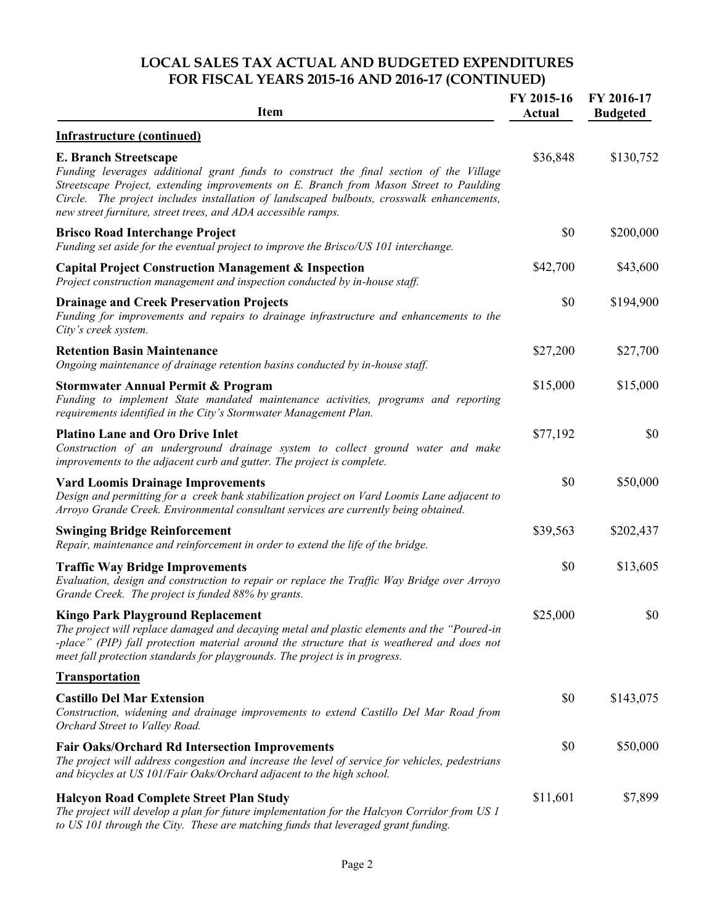#### **LOCAL SALES TAX ACTUAL AND BUDGETED EXPENDITURES FOR FISCAL YEARS 2015-16 AND 2016-17 (CONTINUED)**

| <b>Item</b>                                                                                                                                                                                                                                                                                                                                                                    | FY 2015-16<br>Actual | FY 2016-17<br><b>Budgeted</b> |
|--------------------------------------------------------------------------------------------------------------------------------------------------------------------------------------------------------------------------------------------------------------------------------------------------------------------------------------------------------------------------------|----------------------|-------------------------------|
| <b>Infrastructure (continued)</b>                                                                                                                                                                                                                                                                                                                                              |                      |                               |
| <b>E. Branch Streetscape</b><br>Funding leverages additional grant funds to construct the final section of the Village<br>Streetscape Project, extending improvements on E. Branch from Mason Street to Paulding<br>Circle. The project includes installation of landscaped bulbouts, crosswalk enhancements,<br>new street furniture, street trees, and ADA accessible ramps. | \$36,848             | \$130,752                     |
| <b>Brisco Road Interchange Project</b><br>Funding set aside for the eventual project to improve the Brisco/US 101 interchange.                                                                                                                                                                                                                                                 | \$0                  | \$200,000                     |
| <b>Capital Project Construction Management &amp; Inspection</b><br>Project construction management and inspection conducted by in-house staff.                                                                                                                                                                                                                                 | \$42,700             | \$43,600                      |
| <b>Drainage and Creek Preservation Projects</b><br>Funding for improvements and repairs to drainage infrastructure and enhancements to the<br>City's creek system.                                                                                                                                                                                                             | \$0                  | \$194,900                     |
| <b>Retention Basin Maintenance</b><br>Ongoing maintenance of drainage retention basins conducted by in-house staff.                                                                                                                                                                                                                                                            | \$27,200             | \$27,700                      |
| <b>Stormwater Annual Permit &amp; Program</b><br>Funding to implement State mandated maintenance activities, programs and reporting<br>requirements identified in the City's Stormwater Management Plan.                                                                                                                                                                       | \$15,000             | \$15,000                      |
| <b>Platino Lane and Oro Drive Inlet</b><br>Construction of an underground drainage system to collect ground water and make<br>improvements to the adjacent curb and gutter. The project is complete.                                                                                                                                                                           | \$77,192             | \$0                           |
| <b>Vard Loomis Drainage Improvements</b><br>Design and permitting for a creek bank stabilization project on Vard Loomis Lane adjacent to<br>Arroyo Grande Creek. Environmental consultant services are currently being obtained.                                                                                                                                               | \$0                  | \$50,000                      |
| <b>Swinging Bridge Reinforcement</b><br>Repair, maintenance and reinforcement in order to extend the life of the bridge.                                                                                                                                                                                                                                                       | \$39,563             | \$202,437                     |
| <b>Traffic Way Bridge Improvements</b><br>Evaluation, design and construction to repair or replace the Traffic Way Bridge over Arroyo<br>Grande Creek. The project is funded 88% by grants.                                                                                                                                                                                    | \$0                  | \$13,605                      |
| <b>Kingo Park Playground Replacement</b><br>The project will replace damaged and decaying metal and plastic elements and the "Poured-in<br>-place" (PIP) fall protection material around the structure that is weathered and does not<br>meet fall protection standards for playgrounds. The project is in progress.                                                           | \$25,000             | \$0                           |
| <b>Transportation</b>                                                                                                                                                                                                                                                                                                                                                          |                      |                               |
| <b>Castillo Del Mar Extension</b><br>Construction, widening and drainage improvements to extend Castillo Del Mar Road from<br>Orchard Street to Valley Road.                                                                                                                                                                                                                   | \$0                  | \$143,075                     |
| <b>Fair Oaks/Orchard Rd Intersection Improvements</b><br>The project will address congestion and increase the level of service for vehicles, pedestrians<br>and bicycles at US 101/Fair Oaks/Orchard adjacent to the high school.                                                                                                                                              | \$0                  | \$50,000                      |
| <b>Halcyon Road Complete Street Plan Study</b><br>The project will develop a plan for future implementation for the Halcyon Corridor from US 1<br>to US 101 through the City. These are matching funds that leveraged grant funding.                                                                                                                                           | \$11,601             | \$7,899                       |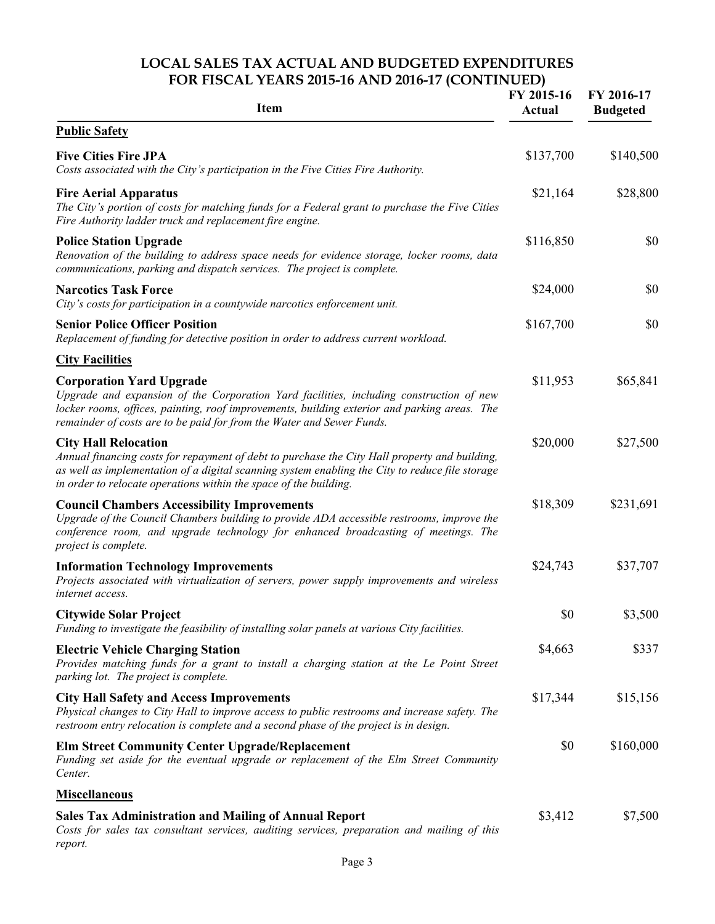#### **LOCAL SALES TAX ACTUAL AND BUDGETED EXPENDITURES FOR FISCAL YEARS 2015-16 AND 2016-17 (CONTINUED)**

| <b>Item</b>                                                                                                                                                                                                                                                                                          | FY 2015-16<br>Actual | FY 2016-17<br><b>Budgeted</b> |
|------------------------------------------------------------------------------------------------------------------------------------------------------------------------------------------------------------------------------------------------------------------------------------------------------|----------------------|-------------------------------|
| <b>Public Safety</b>                                                                                                                                                                                                                                                                                 |                      |                               |
| <b>Five Cities Fire JPA</b><br>Costs associated with the City's participation in the Five Cities Fire Authority.                                                                                                                                                                                     | \$137,700            | \$140,500                     |
| <b>Fire Aerial Apparatus</b><br>The City's portion of costs for matching funds for a Federal grant to purchase the Five Cities<br>Fire Authority ladder truck and replacement fire engine.                                                                                                           | \$21,164             | \$28,800                      |
| <b>Police Station Upgrade</b><br>Renovation of the building to address space needs for evidence storage, locker rooms, data<br>communications, parking and dispatch services. The project is complete.                                                                                               | \$116,850            | \$0                           |
| <b>Narcotics Task Force</b><br>City's costs for participation in a countywide narcotics enforcement unit.                                                                                                                                                                                            | \$24,000             | \$0                           |
| <b>Senior Police Officer Position</b><br>Replacement of funding for detective position in order to address current workload.                                                                                                                                                                         | \$167,700            | \$0                           |
| <b>City Facilities</b>                                                                                                                                                                                                                                                                               |                      |                               |
| <b>Corporation Yard Upgrade</b><br>Upgrade and expansion of the Corporation Yard facilities, including construction of new<br>locker rooms, offices, painting, roof improvements, building exterior and parking areas. The<br>remainder of costs are to be paid for from the Water and Sewer Funds.  | \$11,953             | \$65,841                      |
| <b>City Hall Relocation</b><br>Annual financing costs for repayment of debt to purchase the City Hall property and building,<br>as well as implementation of a digital scanning system enabling the City to reduce file storage<br>in order to relocate operations within the space of the building. | \$20,000             | \$27,500                      |
| <b>Council Chambers Accessibility Improvements</b><br>Upgrade of the Council Chambers building to provide ADA accessible restrooms, improve the<br>conference room, and upgrade technology for enhanced broadcasting of meetings. The<br>project is complete.                                        | \$18,309             | \$231,691                     |
| <b>Information Technology Improvements</b><br>Projects associated with virtualization of servers, power supply improvements and wireless<br>internet access.                                                                                                                                         | \$24,743             | \$37,707                      |
| <b>Citywide Solar Project</b><br>Funding to investigate the feasibility of installing solar panels at various City facilities.                                                                                                                                                                       | \$0                  | \$3,500                       |
| <b>Electric Vehicle Charging Station</b><br>Provides matching funds for a grant to install a charging station at the Le Point Street<br>parking lot. The project is complete.                                                                                                                        | \$4,663              | \$337                         |
| <b>City Hall Safety and Access Improvements</b><br>Physical changes to City Hall to improve access to public restrooms and increase safety. The<br>restroom entry relocation is complete and a second phase of the project is in design.                                                             | \$17,344             | \$15,156                      |
| <b>Elm Street Community Center Upgrade/Replacement</b><br>Funding set aside for the eventual upgrade or replacement of the Elm Street Community<br>Center.                                                                                                                                           | \$0                  | \$160,000                     |
| <b>Miscellaneous</b>                                                                                                                                                                                                                                                                                 |                      |                               |
| <b>Sales Tax Administration and Mailing of Annual Report</b><br>Costs for sales tax consultant services, auditing services, preparation and mailing of this<br>report.                                                                                                                               | \$3,412              | \$7,500                       |